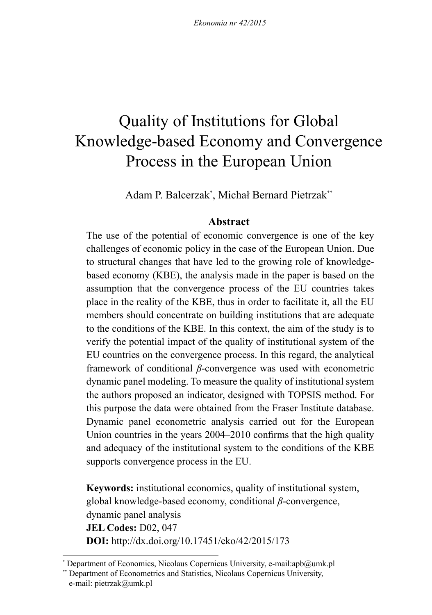# Quality of Institutions for Global Knowledge-based Economy and Convergence Process in the European Union

Adam P. Balcerzak\* , Michał Bernard Pietrzak\*\*

# **Abstract**

The use of the potential of economic convergence is one of the key challenges of economic policy in the case of the European Union. Due to structural changes that have led to the growing role of knowledgebased economy (KBE), the analysis made in the paper is based on the assumption that the convergence process of the EU countries takes place in the reality of the KBE, thus in order to facilitate it, all the EU members should concentrate on building institutions that are adequate to the conditions of the KBE. In this context, the aim of the study is to verify the potential impact of the quality of institutional system of the EU countries on the convergence process. In this regard, the analytical framework of conditional *β*-convergence was used with econometric dynamic panel modeling. To measure the quality of institutional system the authors proposed an indicator, designed with TOPSIS method. For this purpose the data were obtained from the Fraser Institute database. Dynamic panel econometric analysis carried out for the European Union countries in the years 2004–2010 confirms that the high quality and adequacy of the institutional system to the conditions of the KBE supports convergence process in the EU.

**Keywords:** institutional economics, quality of institutional system, global knowledge-based economy, conditional *β*-convergence, dynamic panel analysis **JEL Codes:** D02, 047 **DOI:** http://dx.doi.org/10.17451/eko/42/2015/173

<sup>\*</sup> Department of Economics, Nicolaus Copernicus University, e-mail:apb@umk.pl

<sup>\*\*</sup> Department of Econometrics and Statistics, Nicolaus Copernicus University, e-mail: pietrzak@umk.pl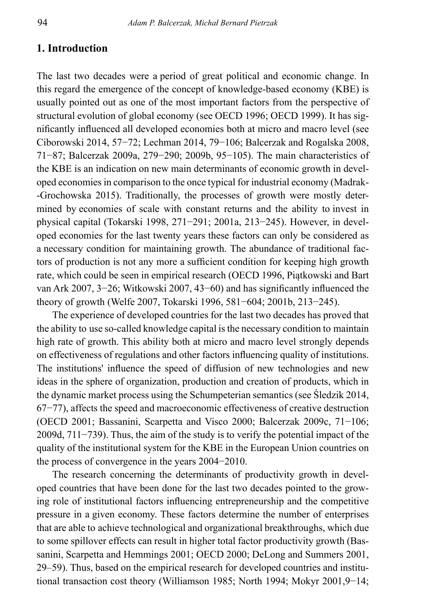### **1. Introduction**

The last two decades were a period of great political and economic change. In this regard the emergence of the concept of knowledge-based economy (KBE) is usually pointed out as one of the most important factors from the perspective of structural evolution of global economy (see OECD 1996; OECD 1999). It has significantly influenced all developed economies both at micro and macro level (see Ciborowski 2014, 57−72; Lechman 2014, 79−106; Balcerzak and Rogalska 2008, 71−87; Balcerzak 2009a, 279−290; 2009b, 95−105). The main characteristics of the KBE is an indication on new main determinants of economic growth in developed economies in comparison to the once typical for industrial economy (Madrak- -Grochowska 2015). Traditionally, the processes of growth were mostly determined by economies of scale with constant returns and the ability to invest in physical capital (Tokarski 1998, 271−291; 2001a, 213−245). However, in developed economies for the last twenty years these factors can only be considered as a necessary condition for maintaining growth. The abundance of traditional factors of production is not any more a sufficient condition for keeping high growth rate, which could be seen in empirical research (OECD 1996, Piątkowski and Bart van Ark 2007, 3−26; Witkowski 2007, 43−60) and has significantly influenced the theory of growth (Welfe 2007, Tokarski 1996, 581−604; 2001b, 213−245).

The experience of developed countries for the last two decades has proved that the ability to use so-called knowledge capital is the necessary condition to maintain high rate of growth. This ability both at micro and macro level strongly depends on effectiveness of regulations and other factors influencing quality of institutions. The institutions' influence the speed of diffusion of new technologies and new ideas in the sphere of organization, production and creation of products, which in the dynamic market process using the Schumpeterian semantics (see Śledzik 2014, 67−77), affects the speed and macroeconomic effectiveness of creative destruction (OECD 2001; Bassanini, Scarpetta and Visco 2000; Balcerzak 2009c, 71−106; 2009d, 711−739). Thus, the aim of the study is to verify the potential impact of the quality of the institutional system for the KBE in the European Union countries on the process of convergence in the years 2004−2010.

The research concerning the determinants of productivity growth in developed countries that have been done for the last two decades pointed to the growing role of institutional factors influencing entrepreneurship and the competitive pressure in a given economy. These factors determine the number of enterprises that are able to achieve technological and organizational breakthroughs, which due to some spillover effects can result in higher total factor productivity growth (Bassanini, Scarpetta and Hemmings 2001; OECD 2000; DeLong and Summers 2001, 29‒59). Thus, based on the empirical research for developed countries and institutional transaction cost theory (Williamson 1985; North 1994; Mokyr 2001,9−14;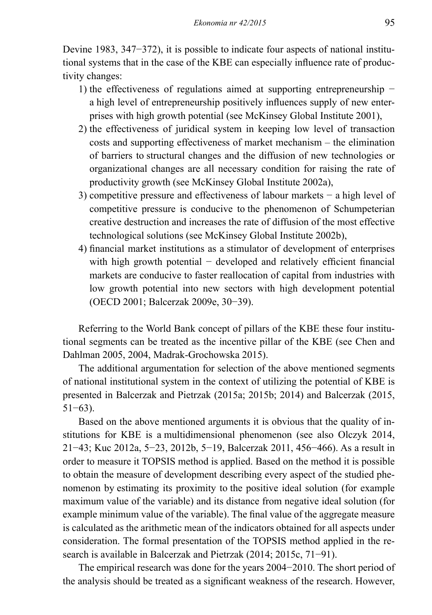Devine 1983, 347−372), it is possible to indicate four aspects of national institutional systems that in the case of the KBE can especially influence rate of productivity changes:

- 1) the effectiveness of regulations aimed at supporting entrepreneurship − a high level of entrepreneurship positively influences supply of new enterprises with high growth potential (see McKinsey Global Institute 2001),
- 2) the effectiveness of juridical system in keeping low level of transaction costs and supporting effectiveness of market mechanism – the elimination of barriers to structural changes and the diffusion of new technologies or organizational changes are all necessary condition for raising the rate of productivity growth (see McKinsey Global Institute 2002a),
- 3) competitive pressure and effectiveness of labour markets − a high level of competitive pressure is conducive to the phenomenon of Schumpeterian creative destruction and increases the rate of diffusion of the most effective technological solutions (see McKinsey Global Institute 2002b),
- 4) financial market institutions as a stimulator of development of enterprises with high growth potential − developed and relatively efficient financial markets are conducive to faster reallocation of capital from industries with low growth potential into new sectors with high development potential (OECD 2001; Balcerzak 2009e, 30−39).

Referring to the World Bank concept of pillars of the KBE these four institutional segments can be treated as the incentive pillar of the KBE (see Chen and Dahlman 2005, 2004, Madrak-Grochowska 2015).

The additional argumentation for selection of the above mentioned segments of national institutional system in the context of utilizing the potential of KBE is presented in Balcerzak and Pietrzak (2015a; 2015b; 2014) and Balcerzak (2015, 51−63).

Based on the above mentioned arguments it is obvious that the quality of institutions for KBE is a multidimensional phenomenon (see also Olczyk 2014, 21−43; Kuc 2012a, 5−23, 2012b, 5−19, Balcerzak 2011, 456−466). As a result in order to measure it TOPSIS method is applied. Based on the method it is possible to obtain the measure of development describing every aspect of the studied phenomenon by estimating its proximity to the positive ideal solution (for example maximum value of the variable) and its distance from negative ideal solution (for example minimum value of the variable). The final value of the aggregate measure is calculated as the arithmetic mean of the indicators obtained for all aspects under consideration. The formal presentation of the TOPSIS method applied in the research is available in Balcerzak and Pietrzak (2014; 2015c, 71−91).

The empirical research was done for the years 2004−2010. The short period of the analysis should be treated as a significant weakness of the research. However,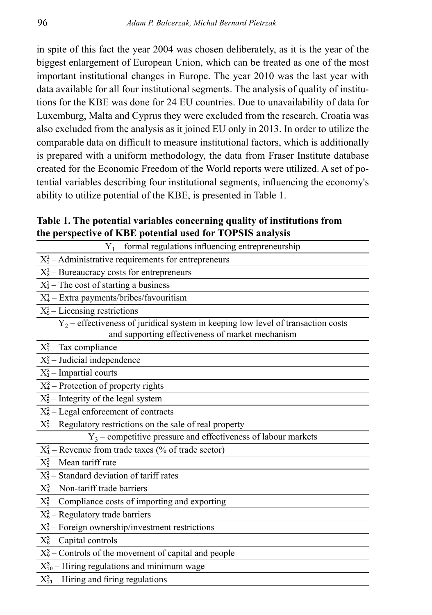in spite of this fact the year 2004 was chosen deliberately, as it is the year of the biggest enlargement of European Union, which can be treated as one of the most important institutional changes in Europe. The year 2010 was the last year with data available for all four institutional segments. The analysis of quality of institutions for the KBE was done for 24 EU countries. Due to unavailability of data for Luxemburg, Malta and Cyprus they were excluded from the research. Croatia was also excluded from the analysis as it joined EU only in 2013. In order to utilize the comparable data on difficult to measure institutional factors, which is additionally is prepared with a uniform methodology, the data from Fraser Institute database created for the Economic Freedom of the World reports were utilized. A set of potential variables describing four institutional segments, influencing the economy's ability to utilize potential of the KBE, is presented in Table 1.

**Table 1. The potential variables concerning quality of institutions from the perspective of KBE potential used for TOPSIS analysis**

| $Y_1$ – formal regulations influencing entrepreneurship                             |
|-------------------------------------------------------------------------------------|
| $X_1^1$ – Administrative requirements for entrepreneurs                             |
| $X_2^1$ – Bureaucracy costs for entrepreneurs                                       |
| $X_3^1$ – The cost of starting a business                                           |
| $X_4^1$ – Extra payments/bribes/favouritism                                         |
| $X_5^1$ – Licensing restrictions                                                    |
| $Y_2$ – effectiveness of juridical system in keeping low level of transaction costs |
| and supporting effectiveness of market mechanism                                    |
| $X_1^2$ – Tax compliance                                                            |
| $X_2^2$ – Judicial independence                                                     |
| $X_3^2$ – Impartial courts                                                          |
| $X_4^2$ – Protection of property rights                                             |
| $X_5^2$ – Integrity of the legal system                                             |
| $X_6^2$ – Legal enforcement of contracts                                            |
| $\overline{X_7^2}$ - Regulatory restrictions on the sale of real property           |
| $Y_3$ – competitive pressure and effectiveness of labour markets                    |
| $X_1^3$ – Revenue from trade taxes (% of trade sector)                              |
| $X_2^3$ – Mean tariff rate                                                          |
| $X_3^3$ – Standard deviation of tariff rates                                        |
| $X_4^3$ – Non-tariff trade barriers                                                 |
| $X_5^3$ – Compliance costs of importing and exporting                               |
| $X_6^3$ – Regulatory trade barriers                                                 |
| $X_7^3$ – Foreign ownership/investment restrictions                                 |
| $X_8^3$ – Capital controls                                                          |
| $X_9^3$ – Controls of the movement of capital and people                            |
| $X_{10}^3$ – Hiring regulations and minimum wage                                    |
| $X_{11}^3$ – Hiring and firing regulations                                          |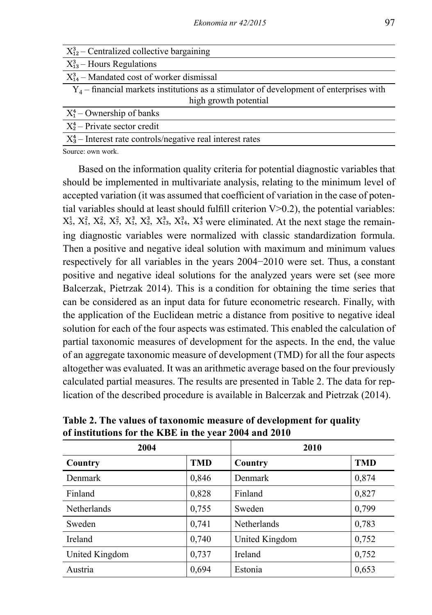| $X_{12}^3$ – Centralized collective bargaining                                            |
|-------------------------------------------------------------------------------------------|
| $X_{13}^3$ – Hours Regulations                                                            |
| $X_{14}^3$ – Mandated cost of worker dismissal                                            |
| $Y_4$ – financial markets institutions as a stimulator of development of enterprises with |
| high growth potential                                                                     |
| $X_1^4$ – Ownership of banks                                                              |
| $X_2^4$ – Private sector credit                                                           |
| $X_3^4$ – Interest rate controls/negative real interest rates                             |

Source: own work.

Based on the information quality criteria for potential diagnostic variables that should be implemented in multivariate analysis, relating to the minimum level of accepted variation (it was assumed that coefficient of variation in the case of potential variables should at least should fulfill criterion  $V>0.2$ ), the potential variables:  $X_5^1$ ,  $X_4^2$ ,  $X_5^2$ ,  $X_7^3$ ,  $X_3^3$ ,  $X_3^3$ ,  $X_4^3$ ,  $X_5^4$  were eliminated. At the next stage the remaining diagnostic variables were normalized with classic standardization formula. Then a positive and negative ideal solution with maximum and minimum values respectively for all variables in the years 2004−2010 were set. Thus, a constant positive and negative ideal solutions for the analyzed years were set (see more Balcerzak, Pietrzak 2014). This is a condition for obtaining the time series that can be considered as an input data for future econometric research. Finally, with the application of the Euclidean metric a distance from positive to negative ideal solution for each of the four aspects was estimated. This enabled the calculation of partial taxonomic measures of development for the aspects. In the end, the value of an aggregate taxonomic measure of development (TMD) for all the four aspects altogether was evaluated. It was an arithmetic average based on the four previously calculated partial measures. The results are presented in Table 2. The data for replication of the described procedure is available in Balcerzak and Pietrzak (2014).

| 2004               |            | 2010           |       |
|--------------------|------------|----------------|-------|
| Country            | <b>TMD</b> | Country        | TMD   |
| Denmark            | 0,846      | Denmark        | 0,874 |
| Finland            | 0,828      | Finland        | 0,827 |
| <b>Netherlands</b> | 0,755      | Sweden         | 0,799 |
| Sweden             | 0,741      | Netherlands    | 0,783 |
| Ireland            | 0,740      | United Kingdom | 0,752 |
| United Kingdom     | 0,737      | Ireland        | 0,752 |
| Austria            | 0,694      | Estonia        | 0,653 |

**Table 2. The values of taxonomic measure of development for quality of institutions for the KBE in the year 2004 and 2010**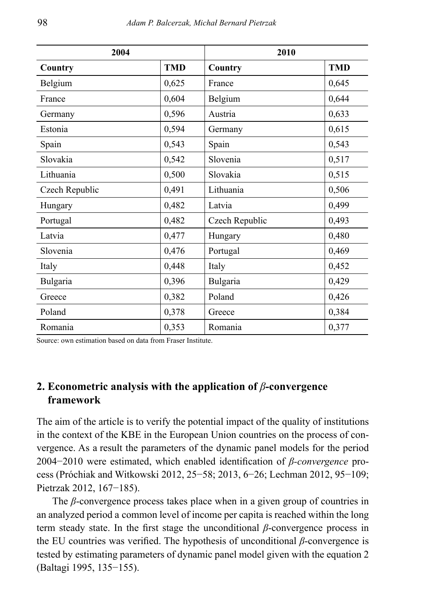| 2004           |            | 2010           |            |
|----------------|------------|----------------|------------|
| Country        | <b>TMD</b> | Country        | <b>TMD</b> |
| Belgium        | 0,625      | France         | 0,645      |
| France         | 0,604      | Belgium        | 0,644      |
| Germany        | 0,596      | Austria        | 0,633      |
| Estonia        | 0,594      | Germany        | 0,615      |
| Spain          | 0,543      | Spain          | 0,543      |
| Slovakia       | 0,542      | Slovenia       | 0,517      |
| Lithuania      | 0,500      | Slovakia       | 0,515      |
| Czech Republic | 0,491      | Lithuania      | 0,506      |
| Hungary        | 0,482      | Latvia         | 0,499      |
| Portugal       | 0,482      | Czech Republic | 0,493      |
| Latvia         | 0,477      | Hungary        | 0,480      |
| Slovenia       | 0,476      | Portugal       | 0,469      |
| Italy          | 0,448      | Italy          | 0,452      |
| Bulgaria       | 0,396      | Bulgaria       | 0,429      |
| Greece         | 0,382      | Poland         | 0,426      |
| Poland         | 0,378      | Greece         | 0,384      |
| Romania        | 0,353      | Romania        | 0,377      |

Source: own estimation based on data from Fraser Institute.

### **2. Econometric analysis with the application of** *β***-convergence framework**

The aim of the article is to verify the potential impact of the quality of institutions in the context of the KBE in the European Union countries on the process of convergence. As a result the parameters of the dynamic panel models for the period 2004−2010 were estimated, which enabled identification of *β-convergence* process (Próchiak and Witkowski 2012, 25−58; 2013, 6−26; Lechman 2012, 95−109; Pietrzak 2012, 167−185).

The *β*-convergence process takes place when in a given group of countries in an analyzed period a common level of income per capita is reached within the long term steady state. In the first stage the unconditional *β*-convergence process in the EU countries was verified. The hypothesis of unconditional *β*-convergence is tested by estimating parameters of dynamic panel model given with the equation 2 (Baltagi 1995, 135−155).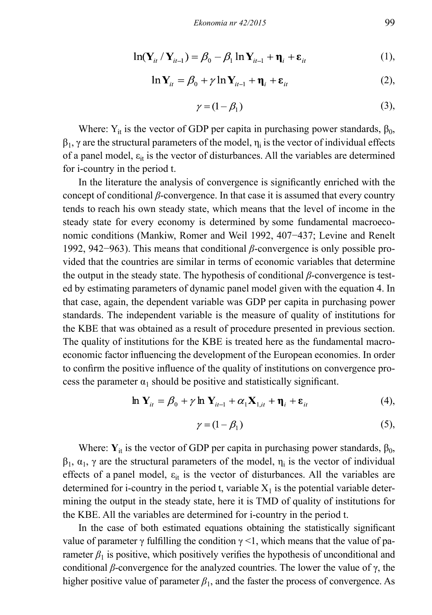$$
\ln(\mathbf{Y}_{it} / \mathbf{Y}_{it-1}) = \beta_0 - \beta_1 \ln \mathbf{Y}_{it-1} + \mathbf{\eta}_i + \varepsilon_{it}
$$
 (1),

$$
\ln Y_{it} = \beta_0 + \gamma \ln Y_{it-1} + \eta_i + \varepsilon_{it}
$$
 (2),

$$
\gamma = (1 - \beta_1) \tag{3}
$$

Where:  $Y_{it}$  is the vector of GDP per capita in purchasing power standards,  $\beta_0$ ,  $\beta_1$ ,  $\gamma$  are the structural parameters of the model,  $\eta_i$  is the vector of individual effects of a panel model,  $\varepsilon_{it}$  is the vector of disturbances. All the variables are determined for i-country in the period t.

In the literature the analysis of convergence is significantly enriched with the concept of conditional *β*-convergence. In that case it is assumed that every country tends to reach his own steady state, which means that the level of income in the steady state for every economy is determined by some fundamental macroeconomic conditions (Mankiw, Romer and Weil 1992, 407−437; Levine and Renelt 1992, 942−963). This means that conditional *β*-convergence is only possible provided that the countries are similar in terms of economic variables that determine the output in the steady state. The hypothesis of conditional *β*-convergence is tested by estimating parameters of dynamic panel model given with the equation 4. In that case, again, the dependent variable was GDP per capita in purchasing power standards. The independent variable is the measure of quality of institutions for the KBE that was obtained as a result of procedure presented in previous section. The quality of institutions for the KBE is treated here as the fundamental macroeconomic factor influencing the development of the European economies. In order to confirm the positive influence of the quality of institutions on convergence process the parameter  $\alpha_1$  should be positive and statistically significant.

$$
\ln \mathbf{Y}_{it} = \beta_0 + \gamma \ln \mathbf{Y}_{it-1} + \alpha_1 \mathbf{X}_{1,it} + \mathbf{\eta}_i + \varepsilon_{it}
$$
(4),

$$
\gamma = (1 - \beta_1) \tag{5}
$$

Where:  $Y_{it}$  is the vector of GDP per capita in purchasing power standards,  $\beta_0$ ,  $\beta_1$ ,  $\alpha_1$ ,  $\gamma$  are the structural parameters of the model,  $\eta_i$  is the vector of individual effects of a panel model,  $\varepsilon_{it}$  is the vector of disturbances. All the variables are determined for i-country in the period t, variable  $X_1$  is the potential variable determining the output in the steady state, here it is TMD of quality of institutions for the KBE. All the variables are determined for i-country in the period t.

In the case of both estimated equations obtaining the statistically significant value of parameter γ fulfilling the condition  $\gamma$  <1, which means that the value of parameter  $\beta_1$  is positive, which positively verifies the hypothesis of unconditional and conditional *β*-convergence for the analyzed countries. The lower the value of γ, the higher positive value of parameter  $\beta_1$ , and the faster the process of convergence. As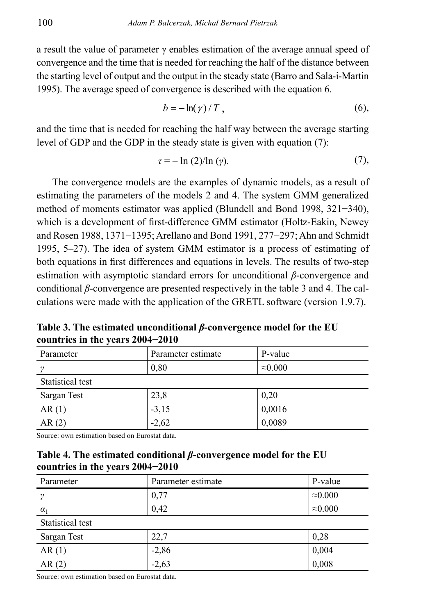a result the value of parameter  $\gamma$  enables estimation of the average annual speed of convergence and the time that is needed for reaching the half of the distance between the starting level of output and the output in the steady state (Barro and Sala-i-Martin 1995). The average speed of convergence is described with the equation 6.

$$
b = -\ln(\gamma)/T, \qquad (6),
$$

and the time that is needed for reaching the half way between the average starting level of GDP and the GDP in the steady state is given with equation (7):

$$
\tau = -\ln(2)/\ln(\gamma). \tag{7}
$$

The convergence models are the examples of dynamic models, as a result of estimating the parameters of the models 2 and 4. The system GMM generalized method of moments estimator was applied (Blundell and Bond 1998, 321−340), which is a development of first-difference GMM estimator (Holtz-Eakin, Newey and Rosen 1988, 1371−1395; Arellano and Bond 1991, 277−297; Ahn and Schmidt 1995, 5–27). The idea of system GMM estimator is a process of estimating of both equations in first differences and equations in levels. The results of two-step estimation with asymptotic standard errors for unconditional *β*-convergence and conditional *β*-convergence are presented respectively in the table 3 and 4. The calculations were made with the application of the GRETL software (version 1.9.7).

**Table 3. The estimated unconditional** *β***-convergence model for the EU countries in the years 2004−2010**

| Parameter        | Parameter estimate | P-value         |
|------------------|--------------------|-----------------|
|                  | 0,80               | $\approx 0.000$ |
| Statistical test |                    |                 |
| Sargan Test      | 23,8               | 0,20            |
| AR(1)            | $-3,15$            | 0,0016          |
| AR(2)            | $-2,62$            | 0,0089          |

Source: own estimation based on Eurostat data.

#### **Table 4. The estimated conditional** *β***-convergence model for the EU countries in the years 2004−2010**

| Parameter        | Parameter estimate | P-value         |
|------------------|--------------------|-----------------|
| $\gamma$         | 0,77               | $\approx 0.000$ |
| $\alpha_1$       | 0,42               | $\approx 0.000$ |
| Statistical test |                    |                 |
| Sargan Test      | 22,7               | 0,28            |
| AR(1)            | $-2,86$            | 0,004           |
| AR(2)            | $-2,63$            | 0,008           |

Source: own estimation based on Eurostat data.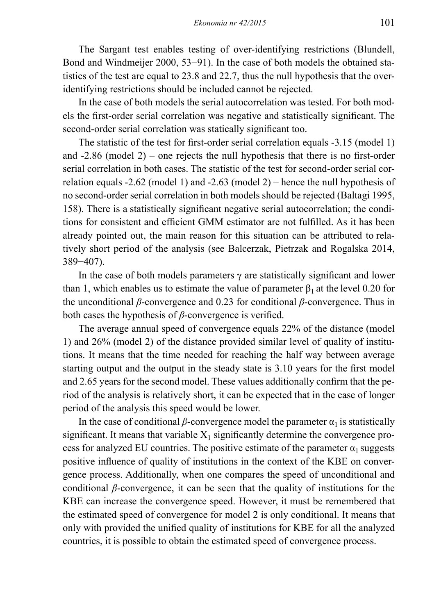The Sargant test enables testing of over-identifying restrictions (Blundell, Bond and Windmeijer 2000, 53−91). In the case of both models the obtained statistics of the test are equal to 23.8 and 22.7, thus the null hypothesis that the overidentifying restrictions should be included cannot be rejected.

In the case of both models the serial autocorrelation was tested. For both models the first-order serial correlation was negative and statistically significant. The second-order serial correlation was statically significant too.

The statistic of the test for first-order serial correlation equals -3.15 (model 1) and -2.86 (model 2) – one rejects the null hypothesis that there is no first-order serial correlation in both cases. The statistic of the test for second-order serial correlation equals -2.62 (model 1) and -2.63 (model 2) – hence the null hypothesis of no second-order serial correlation in both models should be rejected (Baltagi 1995, 158). There is a statistically significant negative serial autocorrelation; the conditions for consistent and efficient GMM estimator are not fulfilled. As it has been already pointed out, the main reason for this situation can be attributed to relatively short period of the analysis (see Balcerzak, Pietrzak and Rogalska 2014, 389−407).

In the case of both models parameters  $\gamma$  are statistically significant and lower than 1, which enables us to estimate the value of parameter  $\beta_1$  at the level 0.20 for the unconditional *β*-convergence and 0.23 for conditional *β*-convergence. Thus in both cases the hypothesis of *β*-convergence is verified.

The average annual speed of convergence equals 22% of the distance (model 1) and 26% (model 2) of the distance provided similar level of quality of institutions. It means that the time needed for reaching the half way between average starting output and the output in the steady state is 3.10 years for the first model and 2.65 years for the second model. These values additionally confirm that the period of the analysis is relatively short, it can be expected that in the case of longer period of the analysis this speed would be lower.

In the case of conditional  $\beta$ -convergence model the parameter  $\alpha_1$  is statistically significant. It means that variable  $X_1$  significantly determine the convergence process for analyzed EU countries. The positive estimate of the parameter  $\alpha_1$  suggests positive influence of quality of institutions in the context of the KBE on convergence process. Additionally, when one compares the speed of unconditional and conditional *β*-convergence, it can be seen that the quality of institutions for the KBE can increase the convergence speed. However, it must be remembered that the estimated speed of convergence for model 2 is only conditional. It means that only with provided the unified quality of institutions for KBE for all the analyzed countries, it is possible to obtain the estimated speed of convergence process.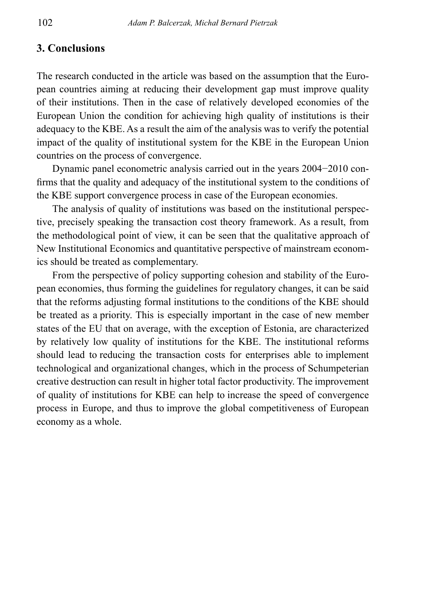### **3. Conclusions**

The research conducted in the article was based on the assumption that the European countries aiming at reducing their development gap must improve quality of their institutions. Then in the case of relatively developed economies of the European Union the condition for achieving high quality of institutions is their adequacy to the KBE. As a result the aim of the analysis was to verify the potential impact of the quality of institutional system for the KBE in the European Union countries on the process of convergence.

Dynamic panel econometric analysis carried out in the years 2004−2010 confirms that the quality and adequacy of the institutional system to the conditions of the KBE support convergence process in case of the European economies.

The analysis of quality of institutions was based on the institutional perspective, precisely speaking the transaction cost theory framework. As a result, from the methodological point of view, it can be seen that the qualitative approach of New Institutional Economics and quantitative perspective of mainstream economics should be treated as complementary.

From the perspective of policy supporting cohesion and stability of the European economies, thus forming the guidelines for regulatory changes, it can be said that the reforms adjusting formal institutions to the conditions of the KBE should be treated as a priority. This is especially important in the case of new member states of the EU that on average, with the exception of Estonia, are characterized by relatively low quality of institutions for the KBE. The institutional reforms should lead to reducing the transaction costs for enterprises able to implement technological and organizational changes, which in the process of Schumpeterian creative destruction can result in higher total factor productivity. The improvement of quality of institutions for KBE can help to increase the speed of convergence process in Europe, and thus to improve the global competitiveness of European economy as a whole.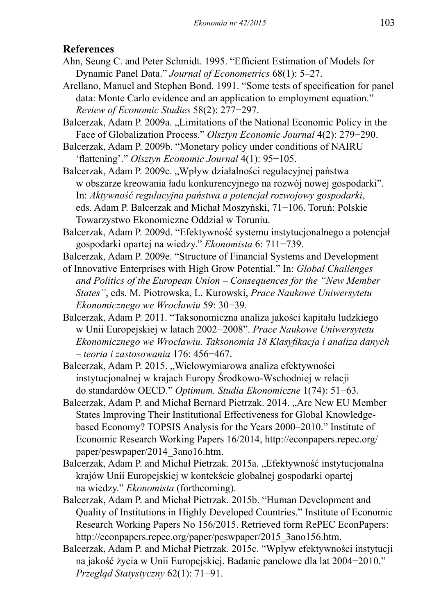# **References**

- Ahn, Seung C. and Peter Schmidt. 1995. "Efficient Estimation of Models for Dynamic Panel Data." *Journal of Econometrics* 68(1): 5–27.
- Arellano, Manuel and Stephen Bond. 1991. "Some tests of specification for panel data: Monte Carlo evidence and an application to employment equation." *Review of Economic Studies* 58(2): 277−297.
- Balcerzak, Adam P. 2009a. ..Limitations of the National Economic Policy in the Face of Globalization Process." *Olsztyn Economic Journal* 4(2): 279−290.
- Balcerzak, Adam P. 2009b. "Monetary policy under conditions of NAIRU 'flattening'." *Olsztyn Economic Journal* 4(1): 95−105.
- Balcerzak, Adam P. 2009c. "Wpływ działalności regulacyjnej państwa w obszarze kreowania ładu konkurencyjnego na rozwój nowej gospodarki". In: *Aktywność regulacyjna państwa a potencjał rozwojowy gospodarki*, eds. Adam P. Balcerzak and Michał Moszyński, 71−106. Toruń: Polskie Towarzystwo Ekonomiczne Oddział w Toruniu.
- Balcerzak, Adam P. 2009d. "Efektywność systemu instytucjonalnego a potencjał gospodarki opartej na wiedzy." *Ekonomista* 6: 711−739.
- Balcerzak, Adam P. 2009e. "Structure of Financial Systems and Development
- of Innovative Enterprises with High Grow Potential." In: *Global Challenges and Politics of the European Union – Consequences for the "New Member States"*, eds. M. Piotrowska, L. Kurowski, *Prace Naukowe Uniwersytetu Ekonomicznego we Wrocławiu* 59: 30−39.
- Balcerzak, Adam P. 2011. "Taksonomiczna analiza jakości kapitału ludzkiego w Unii Europejskiej w latach 2002−2008". *Prace Naukowe Uniwersytetu Ekonomicznego we Wrocławiu. Taksonomia 18 Klasyfikacja i analiza danych – teoria i zastosowania* 176: 456−467.
- Balcerzak, Adam P. 2015. "Wielowymiarowa analiza efektywności instytucjonalnej w krajach Europy Środkowo-Wschodniej w relacji do standardów OECD." *Optimum. Studia Ekonomiczne* 1(74): 51−63.
- Balcerzak, Adam P. and Michał Bernard Pietrzak. 2014. "Are New EU Member States Improving Their Institutional Effectiveness for Global Knowledgebased Economy? TOPSIS Analysis for the Years 2000–2010." Institute of Economic Research Working Papers 16/2014, http://econpapers.repec.org/ paper/peswpaper/2014\_3ano16.htm.
- Balcerzak, Adam P. and Michał Pietrzak. 2015a. "Efektywność instytucjonalna krajów Unii Europejskiej w kontekście globalnej gospodarki opartej na wiedzy." *Ekonomista* (forthcoming).
- Balcerzak, Adam P. and Michał Pietrzak. 2015b. "Human Development and Quality of Institutions in Highly Developed Countries." Institute of Economic Research Working Papers No 156/2015. Retrieved form RePEC EconPapers: http://econpapers.repec.org/paper/peswpaper/2015\_3ano156.htm.
- Balcerzak, Adam P. and Michał Pietrzak. 2015c. "Wpływ efektywności instytucji na jakość życia w Unii Europejskiej. Badanie panelowe dla lat 2004−2010." *Przegląd Statystyczny* 62(1): 71−91.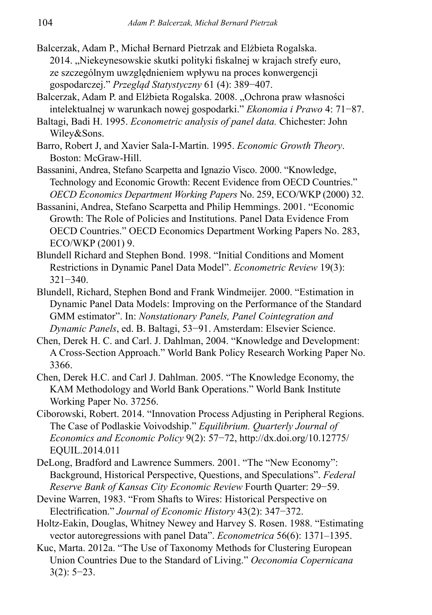- Balcerzak, Adam P., Michał Bernard Pietrzak and Elżbieta Rogalska. 2014. "Niekeynesowskie skutki polityki fiskalnej w krajach strefy euro, ze szczególnym uwzględnieniem wpływu na proces konwergencji gospodarczej." *Przegląd Statystyczny* 61 (4): 389−407.
- Balcerzak, Adam P. and Elżbieta Rogalska. 2008. "Ochrona praw własności intelektualnej w warunkach nowej gospodarki." *Ekonomia i Prawo* 4: 71−87.
- Baltagi, Badi H. 1995. *Econometric analysis of panel data.* Chichester: John Wiley&Sons.
- Barro, Robert J, and Xavier Sala-I-Martin. 1995. *Economic Growth Theory*. Boston: McGraw-Hill.
- Bassanini, Andrea, Stefano Scarpetta and Ignazio Visco. 2000. "Knowledge, Technology and Economic Growth: Recent Evidence from OECD Countries." *OECD Economics Department Working Papers* No. 259, ECO/WKP (2000) 32.
- Bassanini, Andrea, Stefano Scarpetta and Philip Hemmings. 2001. "Economic Growth: The Role of Policies and Institutions. Panel Data Evidence From OECD Countries." OECD Economics Department Working Papers No. 283, ECO/WKP (2001) 9.
- Blundell Richard and Stephen Bond. 1998. "Initial Conditions and Moment Restrictions in Dynamic Panel Data Model". *Econometric Review* 19(3): 321−340.
- Blundell, Richard, Stephen Bond and Frank Windmeijer. 2000. "Estimation in Dynamic Panel Data Models: Improving on the Performance of the Standard GMM estimator". In: *Nonstationary Panels, Panel Cointegration and Dynamic Panels*, ed. B. Baltagi, 53−91. Amsterdam: Elsevier Science.
- Chen, Derek H. C. and Carl. J. Dahlman, 2004. "Knowledge and Development: A Cross-Section Approach." World Bank Policy Research Working Paper No. 3366.
- Chen, Derek H.C. and Carl J. Dahlman. 2005. "The Knowledge Economy, the KAM Methodology and World Bank Operations." World Bank Institute Working Paper No. 37256.
- Ciborowski, Robert. 2014. "Innovation Process Adjusting in Peripheral Regions. The Case of Podlaskie Voivodship." *Equilibrium. Quarterly Journal of Economics and Economic Policy* 9(2): 57−72, http://dx.doi.org/10.12775/ EQUIL.2014.011
- DeLong, Bradford and Lawrence Summers. 2001. "The "New Economy": Background, Historical Perspective, Questions, and Speculations". *Federal Reserve Bank of Kansas City Economic Review* Fourth Quarter: 29−59.
- Devine Warren, 1983. "From Shafts to Wires: Historical Perspective on Electrification." *Journal of Economic History* 43(2): 347−372.
- Holtz-Eakin, Douglas, Whitney Newey and Harvey S. Rosen. 1988. "Estimating vector autoregressions with panel Data". *Econometrica* 56(6): 1371–1395.
- Kuc, Marta. 2012a. "The Use of Taxonomy Methods for Clustering European Union Countries Due to the Standard of Living." *Oeconomia Copernicana*  3(2): 5−23.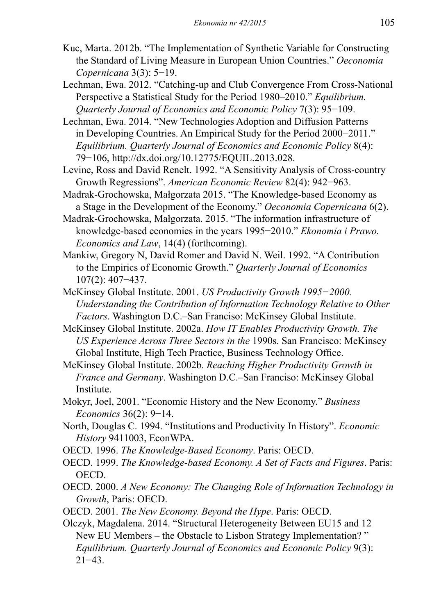- Kuc, Marta. 2012b. "The Implementation of Synthetic Variable for Constructing the Standard of Living Measure in European Union Countries." *Oeconomia Copernicana* 3(3): 5−19.
- Lechman, Ewa. 2012. "Catching-up and Club Convergence From Cross-National Perspective a Statistical Study for the Period 1980–2010." *Equilibrium. Quarterly Journal of Economics and Economic Policy* 7(3): 95−109.
- Lechman, Ewa. 2014. "New Technologies Adoption and Diffusion Patterns in Developing Countries. An Empirical Study for the Period 2000−2011." *Equilibrium. Quarterly Journal of Economics and Economic Policy* 8(4): 79−106, http://dx.doi.org/10.12775/EQUIL.2013.028.
- Levine, Ross and David Renelt. 1992. "A Sensitivity Analysis of Cross-country Growth Regressions". *American Economic Review* 82(4): 942−963.
- Madrak-Grochowska, Małgorzata 2015. "The Knowledge-based Economy as a Stage in the Development of the Economy." *Oeconomia Copernicana* 6(2).
- Madrak-Grochowska, Małgorzata. 2015. "The information infrastructure of knowledge-based economies in the years 1995−2010." *Ekonomia i Prawo. Economics and Law*, 14(4) (forthcoming).
- Mankiw, Gregory N, David Romer and David N. Weil. 1992. "A Contribution to the Empirics of Economic Growth." *Quarterly Journal of Economics* 107(2): 407−437.
- McKinsey Global Institute. 2001. *US Productivity Growth 1995−2000. Understanding the Contribution of Information Technology Relative to Other Factors*. Washington D.C.–San Franciso: McKinsey Global Institute.
- McKinsey Global Institute. 2002a. *How IT Enables Productivity Growth. The US Experience Across Three Sectors in the* 1990s. San Francisco: McKinsey Global Institute, High Tech Practice, Business Technology Office.
- McKinsey Global Institute. 2002b. *Reaching Higher Productivity Growth in France and Germany*. Washington D.C.–San Franciso: McKinsey Global Institute.
- Mokyr, Joel, 2001. "Economic History and the New Economy." *Business Economics* 36(2): 9−14.
- North, Douglas C. 1994. "Institutions and Productivity In History". *Economic History* 9411003, EconWPA.
- OECD. 1996. *The Knowledge-Based Economy*. Paris: OECD.
- OECD. 1999. *The Knowledge-based Economy. A Set of Facts and Figures*. Paris: OECD.
- OECD. 2000. *A New Economy: The Changing Role of Information Technology in Growth*, Paris: OECD.
- OECD. 2001. *The New Economy. Beyond the Hype*. Paris: OECD.

Olczyk, Magdalena. 2014. "Structural Heterogeneity Between EU15 and 12 New EU Members – the Obstacle to Lisbon Strategy Implementation? " *Equilibrium. Quarterly Journal of Economics and Economic Policy* 9(3): 21−43.